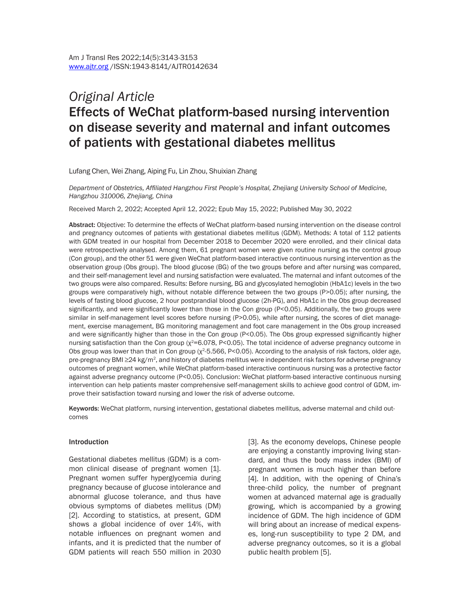# *Original Article* Effects of WeChat platform-based nursing intervention on disease severity and maternal and infant outcomes of patients with gestational diabetes mellitus

Lufang Chen, Wei Zhang, Aiping Fu, Lin Zhou, Shuixian Zhang

*Department of Obstetrics, Affiliated Hangzhou First People's Hospital, Zhejiang University School of Medicine, Hangzhou 310006, Zhejiang, China*

Received March 2, 2022; Accepted April 12, 2022; Epub May 15, 2022; Published May 30, 2022

Abstract: Objective: To determine the effects of WeChat platform-based nursing intervention on the disease control and pregnancy outcomes of patients with gestational diabetes mellitus (GDM). Methods: A total of 112 patients with GDM treated in our hospital from December 2018 to December 2020 were enrolled, and their clinical data were retrospectively analysed. Among them, 61 pregnant women were given routine nursing as the control group (Con group), and the other 51 were given WeChat platform-based interactive continuous nursing intervention as the observation group (Obs group). The blood glucose (BG) of the two groups before and after nursing was compared, and their self-management level and nursing satisfaction were evaluated. The maternal and infant outcomes of the two groups were also compared. Results: Before nursing, BG and glycosylated hemoglobin (HbA1c) levels in the two groups were comparatively high, without notable difference between the two groups (P>0.05); after nursing, the levels of fasting blood glucose, 2 hour postprandial blood glucose (2h-PG), and HbA1c in the Obs group decreased significantly, and were significantly lower than those in the Con group (P<0.05). Additionally, the two groups were similar in self-management level scores before nursing (P>0.05), while after nursing, the scores of diet management, exercise management, BG monitoring management and foot care management in the Obs group increased and were significantly higher than those in the Con group (P<0.05). The Obs group expressed significantly higher nursing satisfaction than the Con group ( $\chi^2$ =6.078, P<0.05). The total incidence of adverse pregnancy outcome in Obs group was lower than that in Con group ( $\chi^2$ -5.566, P<0.05). According to the analysis of risk factors, older age, pre-pregnancy BMI ≥24 kg/m<sup>2</sup>, and history of diabetes mellitus were independent risk factors for adverse pregnancy outcomes of pregnant women, while WeChat platform-based interactive continuous nursing was a protective factor against adverse pregnancy outcome (P<0.05). Conclusion: WeChat platform-based interactive continuous nursing intervention can help patients master comprehensive self-management skills to achieve good control of GDM, improve their satisfaction toward nursing and lower the risk of adverse outcome.

Keywords: WeChat platform, nursing intervention, gestational diabetes mellitus, adverse maternal and child outcomes

#### Introduction

Gestational diabetes mellitus (GDM) is a common clinical disease of pregnant women [1]. Pregnant women suffer hyperglycemia during pregnancy because of glucose intolerance and abnormal glucose tolerance, and thus have obvious symptoms of diabetes mellitus (DM) [2]. According to statistics, at present, GDM shows a global incidence of over 14%, with notable influences on pregnant women and infants, and it is predicted that the number of GDM patients will reach 550 million in 2030

[3]. As the economy develops, Chinese people are enjoying a constantly improving living standard, and thus the body mass index (BMI) of pregnant women is much higher than before [4]. In addition, with the opening of China's three-child policy, the number of pregnant women at advanced maternal age is gradually growing, which is accompanied by a growing incidence of GDM. The high incidence of GDM will bring about an increase of medical expenses, long-run susceptibility to type 2 DM, and adverse pregnancy outcomes, so it is a global public health problem [5].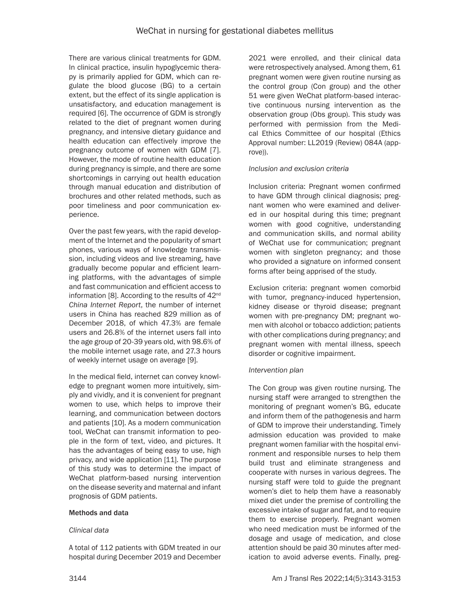There are various clinical treatments for GDM. In clinical practice, insulin hypoglycemic therapy is primarily applied for GDM, which can regulate the blood glucose (BG) to a certain extent, but the effect of its single application is unsatisfactory, and education management is required [6]. The occurrence of GDM is strongly related to the diet of pregnant women during pregnancy, and intensive dietary guidance and health education can effectively improve the pregnancy outcome of women with GDM [7]. However, the mode of routine health education during pregnancy is simple, and there are some shortcomings in carrying out health education through manual education and distribution of brochures and other related methods, such as poor timeliness and poor communication experience.

Over the past few years, with the rapid development of the Internet and the popularity of smart phones, various ways of knowledge transmission, including videos and live streaming, have gradually become popular and efficient learning platforms, with the advantages of simple and fast communication and efficient access to information [8]. According to the results of 42<sup>nd</sup> *China Internet Report*, the number of internet users in China has reached 829 million as of December 2018, of which 47.3% are female users and 26.8% of the internet users fall into the age group of 20-39 years old, with 98.6% of the mobile internet usage rate, and 27.3 hours of weekly internet usage on average [9].

In the medical field, internet can convey knowledge to pregnant women more intuitively, simply and vividly, and it is convenient for pregnant women to use, which helps to improve their learning, and communication between doctors and patients [10]. As a modern communication tool, WeChat can transmit information to people in the form of text, video, and pictures. It has the advantages of being easy to use, high privacy, and wide application [11]. The purpose of this study was to determine the impact of WeChat platform-based nursing intervention on the disease severity and maternal and infant prognosis of GDM patients.

# Methods and data

# *Clinical data*

A total of 112 patients with GDM treated in our hospital during December 2019 and December 2021 were enrolled, and their clinical data were retrospectively analysed. Among them, 61 pregnant women were given routine nursing as the control group (Con group) and the other 51 were given WeChat platform-based interactive continuous nursing intervention as the observation group (Obs group). This study was performed with permission from the Medical Ethics Committee of our hospital (Ethics Approval number: LL2019 (Review) 084A (approve)).

# *Inclusion and exclusion criteria*

Inclusion criteria: Pregnant women confirmed to have GDM through clinical diagnosis; pregnant women who were examined and delivered in our hospital during this time; pregnant women with good cognitive, understanding and communication skills, and normal ability of WeChat use for communication; pregnant women with singleton pregnancy; and those who provided a signature on informed consent forms after being apprised of the study.

Exclusion criteria: pregnant women comorbid with tumor, pregnancy-induced hypertension, kidney disease or thyroid disease; pregnant women with pre-pregnancy DM; pregnant women with alcohol or tobacco addiction; patients with other complications during pregnancy; and pregnant women with mental illness, speech disorder or cognitive impairment.

# *Intervention plan*

The Con group was given routine nursing. The nursing staff were arranged to strengthen the monitoring of pregnant women's BG, educate and inform them of the pathogenesis and harm of GDM to improve their understanding. Timely admission education was provided to make pregnant women familiar with the hospital environment and responsible nurses to help them build trust and eliminate strangeness and cooperate with nurses in various degrees. The nursing staff were told to guide the pregnant women's diet to help them have a reasonably mixed diet under the premise of controlling the excessive intake of sugar and fat, and to require them to exercise properly. Pregnant women who need medication must be informed of the dosage and usage of medication, and close attention should be paid 30 minutes after medication to avoid adverse events. Finally, preg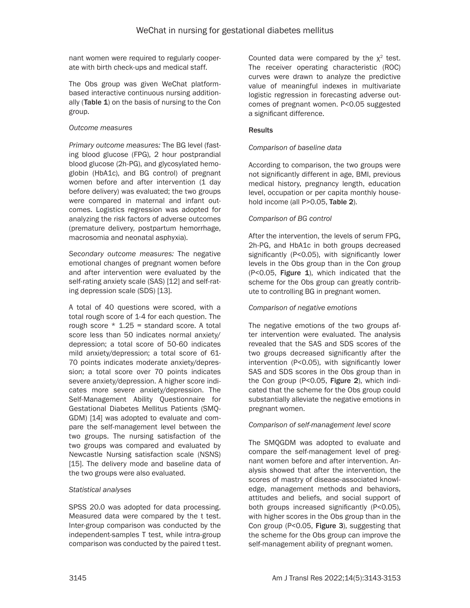nant women were required to regularly cooperate with birth check-ups and medical staff.

The Obs group was given WeChat platformbased interactive continuous nursing additionally (Table 1) on the basis of nursing to the Con group.

# *Outcome measures*

*Primary outcome measures:* The BG level (fasting blood glucose (FPG), 2 hour postprandial blood glucose (2h-PG), and glycosylated hemoglobin (HbA1c), and BG control) of pregnant women before and after intervention (1 day before delivery) was evaluated; the two groups were compared in maternal and infant outcomes. Logistics regression was adopted for analyzing the risk factors of adverse outcomes (premature delivery, postpartum hemorrhage, macrosomia and neonatal asphyxia).

*Secondary outcome measures:* The negative emotional changes of pregnant women before and after intervention were evaluated by the self-rating anxiety scale (SAS) [12] and self-rating depression scale (SDS) [13].

A total of 40 questions were scored, with a total rough score of 1-4 for each question. The rough score  $*$  1.25 = standard score. A total score less than 50 indicates normal anxiety/ depression; a total score of 50-60 indicates mild anxiety/depression; a total score of 61- 70 points indicates moderate anxiety/depression; a total score over 70 points indicates severe anxiety/depression. A higher score indicates more severe anxiety/depression. The Self-Management Ability Questionnaire for Gestational Diabetes Mellitus Patients (SMQ-GDM) [14] was adopted to evaluate and compare the self-management level between the two groups. The nursing satisfaction of the two groups was compared and evaluated by Newcastle Nursing satisfaction scale (NSNS) [15]. The delivery mode and baseline data of the two groups were also evaluated.

# *Statistical analyses*

SPSS 20.0 was adopted for data processing. Measured data were compared by the t test. Inter-group comparison was conducted by the independent-samples T test, while intra-group comparison was conducted by the paired t test. Counted data were compared by the  $x^2$  test. The receiver operating characteristic (ROC) curves were drawn to analyze the predictive value of meaningful indexes in multivariate logistic regression in forecasting adverse outcomes of pregnant women. P<0.05 suggested a significant difference.

# **Results**

# *Comparison of baseline data*

According to comparison, the two groups were not significantly different in age, BMI, previous medical history, pregnancy length, education level, occupation or per capita monthly household income (all P>0.05, Table 2).

# *Comparison of BG control*

After the intervention, the levels of serum FPG, 2h-PG, and HbA1c in both groups decreased significantly (P<0.05), with significantly lower levels in the Obs group than in the Con group  $($ P<0.05, Figure 1), which indicated that the scheme for the Obs group can greatly contribute to controlling BG in pregnant women.

# *Comparison of negative emotions*

The negative emotions of the two groups after intervention were evaluated. The analysis revealed that the SAS and SDS scores of the two groups decreased significantly after the intervention (P<0.05), with significantly lower SAS and SDS scores in the Obs group than in the Con group (P<0.05, Figure 2), which indicated that the scheme for the Obs group could substantially alleviate the negative emotions in pregnant women.

# *Comparison of self-management level score*

The SMQGDM was adopted to evaluate and compare the self-management level of pregnant women before and after intervention. Analysis showed that after the intervention, the scores of mastry of disease-associated knowledge, management methods and behaviors, attitudes and beliefs, and social support of both groups increased significantly (P<0.05), with higher scores in the Obs group than in the Con group (P<0.05, Figure 3), suggesting that the scheme for the Obs group can improve the self-management ability of pregnant women.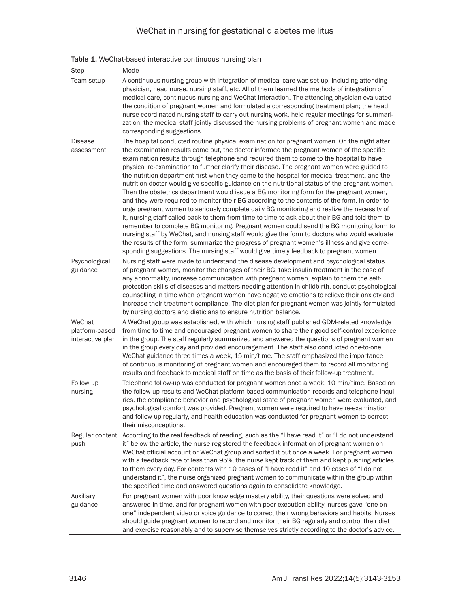| Table 1. WeChat-based interactive continuous nursing plan |  |
|-----------------------------------------------------------|--|
|-----------------------------------------------------------|--|

| Step                                         | Mode                                                                                                                                                                                                                                                                                                                                                                                                                                                                                                                                                                                                                                                                                                                                                                                                                                                                                                                                                                                                                                                                                                                                                                                                                                                                |
|----------------------------------------------|---------------------------------------------------------------------------------------------------------------------------------------------------------------------------------------------------------------------------------------------------------------------------------------------------------------------------------------------------------------------------------------------------------------------------------------------------------------------------------------------------------------------------------------------------------------------------------------------------------------------------------------------------------------------------------------------------------------------------------------------------------------------------------------------------------------------------------------------------------------------------------------------------------------------------------------------------------------------------------------------------------------------------------------------------------------------------------------------------------------------------------------------------------------------------------------------------------------------------------------------------------------------|
| Team setup                                   | A continuous nursing group with integration of medical care was set up, including attending<br>physician, head nurse, nursing staff, etc. All of them learned the methods of integration of<br>medical care, continuous nursing and WeChat interaction. The attending physician evaluated<br>the condition of pregnant women and formulated a corresponding treatment plan; the head<br>nurse coordinated nursing staff to carry out nursing work, held regular meetings for summari-<br>zation; the medical staff jointly discussed the nursing problems of pregnant women and made<br>corresponding suggestions.                                                                                                                                                                                                                                                                                                                                                                                                                                                                                                                                                                                                                                                  |
| <b>Disease</b>                               | The hospital conducted routine physical examination for pregnant women. On the night after                                                                                                                                                                                                                                                                                                                                                                                                                                                                                                                                                                                                                                                                                                                                                                                                                                                                                                                                                                                                                                                                                                                                                                          |
| assessment                                   | the examination results came out, the doctor informed the pregnant women of the specific<br>examination results through telephone and required them to come to the hospital to have<br>physical re-examination to further clarify their disease. The pregnant women were guided to<br>the nutrition department first when they came to the hospital for medical treatment, and the<br>nutrition doctor would give specific guidance on the nutritional status of the pregnant women.<br>Then the obstetrics department would issue a BG monitoring form for the pregnant women,<br>and they were required to monitor their BG according to the contents of the form. In order to<br>urge pregnant women to seriously complete daily BG monitoring and realize the necessity of<br>it, nursing staff called back to them from time to time to ask about their BG and told them to<br>remember to complete BG monitoring. Pregnant women could send the BG monitoring form to<br>nursing staff by WeChat, and nursing staff would give the form to doctors who would evaluate<br>the results of the form, summarize the progress of pregnant women's illness and give corre-<br>sponding suggestions. The nursing staff would give timely feedback to pregnant women. |
| Psychological                                | Nursing staff were made to understand the disease development and psychological status                                                                                                                                                                                                                                                                                                                                                                                                                                                                                                                                                                                                                                                                                                                                                                                                                                                                                                                                                                                                                                                                                                                                                                              |
| guidance                                     | of pregnant women, monitor the changes of their BG, take insulin treatment in the case of<br>any abnormality, increase communication with pregnant women, explain to them the self-<br>protection skills of diseases and matters needing attention in childbirth, conduct psychological<br>counselling in time when pregnant women have negative emotions to relieve their anxiety and<br>increase their treatment compliance. The diet plan for pregnant women was jointly formulated<br>by nursing doctors and dieticians to ensure nutrition balance.                                                                                                                                                                                                                                                                                                                                                                                                                                                                                                                                                                                                                                                                                                            |
| WeChat<br>platform-based<br>interactive plan | A WeChat group was established, with which nursing staff published GDM-related knowledge<br>from time to time and encouraged pregnant women to share their good self-control experience<br>in the group. The staff regularly summarized and answered the questions of pregnant women<br>in the group every day and provided encouragement. The staff also conducted one-to-one<br>WeChat guidance three times a week, 15 min/time. The staff emphasized the importance<br>of continuous monitoring of pregnant women and encouraged them to record all monitoring<br>results and feedback to medical staff on time as the basis of their follow-up treatment.                                                                                                                                                                                                                                                                                                                                                                                                                                                                                                                                                                                                       |
| Follow up<br>nursing                         | Telephone follow-up was conducted for pregnant women once a week, 10 min/time. Based on<br>the follow-up results and WeChat platform-based communication records and telephone inqui-<br>ries, the compliance behavior and psychological state of pregnant women were evaluated, and<br>psychological comfort was provided. Pregnant women were required to have re-examination<br>and follow up regularly, and health education was conducted for pregnant women to correct<br>their misconceptions.                                                                                                                                                                                                                                                                                                                                                                                                                                                                                                                                                                                                                                                                                                                                                               |
| push                                         | Regular content According to the real feedback of reading, such as the "I have read it" or "I do not understand<br>it" below the article, the nurse registered the feedback information of pregnant women on<br>WeChat official account or WeChat group and sorted it out once a week. For pregnant women<br>with a feedback rate of less than 95%, the nurse kept track of them and kept pushing articles<br>to them every day. For contents with 10 cases of "I have read it" and 10 cases of "I do not<br>understand it", the nurse organized pregnant women to communicate within the group within<br>the specified time and answered questions again to consolidate knowledge.                                                                                                                                                                                                                                                                                                                                                                                                                                                                                                                                                                                 |
| Auxiliary<br>guidance                        | For pregnant women with poor knowledge mastery ability, their questions were solved and<br>answered in time, and for pregnant women with poor execution ability, nurses gave "one-on-<br>one" independent video or voice guidance to correct their wrong behaviors and habits. Nurses<br>should guide pregnant women to record and monitor their BG regularly and control their diet<br>and exercise reasonably and to supervise themselves strictly according to the doctor's advice.                                                                                                                                                                                                                                                                                                                                                                                                                                                                                                                                                                                                                                                                                                                                                                              |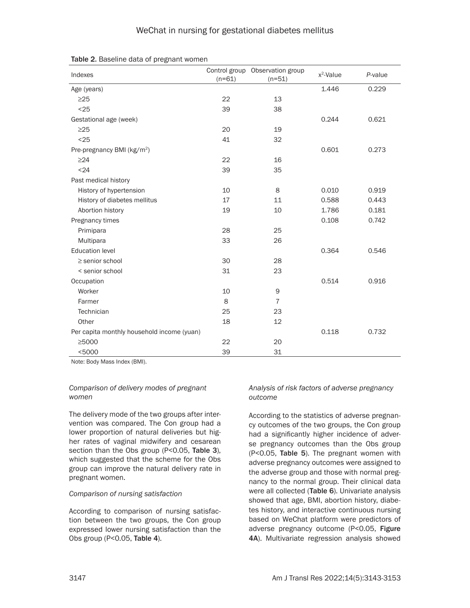| Indexes                                    | $(n=61)$ | Control group Observation group<br>$(n=51)$ | $x^2$ -Value | P-value |
|--------------------------------------------|----------|---------------------------------------------|--------------|---------|
| Age (years)                                |          |                                             | 1.446        | 0.229   |
| $\geq$ 25                                  | 22       | 13                                          |              |         |
| < 25                                       | 39       | 38                                          |              |         |
| Gestational age (week)                     |          |                                             | 0.244        | 0.621   |
| $\geq$ 25                                  | 20       | 19                                          |              |         |
| $25$                                       | 41       | 32                                          |              |         |
| Pre-pregnancy BMI (kg/m <sup>2</sup> )     |          |                                             | 0.601        | 0.273   |
| $\geq$ 24                                  | 22       | 16                                          |              |         |
| < 24                                       | 39       | 35                                          |              |         |
| Past medical history                       |          |                                             |              |         |
| History of hypertension                    | 10       | 8                                           | 0.010        | 0.919   |
| History of diabetes mellitus               | 17       | 11                                          | 0.588        | 0.443   |
| Abortion history                           | 19       | 10                                          | 1.786        | 0.181   |
| Pregnancy times                            |          |                                             | 0.108        | 0.742   |
| Primipara                                  | 28       | 25                                          |              |         |
| Multipara                                  | 33       | 26                                          |              |         |
| <b>Education level</b>                     |          |                                             | 0.364        | 0.546   |
| $\ge$ senior school                        | 30       | 28                                          |              |         |
| < senior school                            | 31       | 23                                          |              |         |
| Occupation                                 |          |                                             | 0.514        | 0.916   |
| Worker                                     | 10       | 9                                           |              |         |
| Farmer                                     | 8        | $\overline{7}$                              |              |         |
| Technician                                 | 25       | 23                                          |              |         |
| Other                                      | 18       | 12                                          |              |         |
| Per capita monthly household income (yuan) |          |                                             | 0.118        | 0.732   |
| ≥5000                                      | 22       | 20                                          |              |         |
| $<$ 5000                                   | 39       | 31                                          |              |         |

Table 2. Baseline data of pregnant women

Note: Body Mass Index (BMI).

# *Comparison of delivery modes of pregnant women*

The delivery mode of the two groups after intervention was compared. The Con group had a lower proportion of natural deliveries but higher rates of vaginal midwifery and cesarean section than the Obs group (P<0.05, Table 3), which suggested that the scheme for the Obs group can improve the natural delivery rate in pregnant women.

# *Comparison of nursing satisfaction*

According to comparison of nursing satisfaction between the two groups, the Con group expressed lower nursing satisfaction than the Obs group (P<0.05, Table 4).

# *Analysis of risk factors of adverse pregnancy outcome*

According to the statistics of adverse pregnancy outcomes of the two groups, the Con group had a significantly higher incidence of adverse pregnancy outcomes than the Obs group (P<0.05, Table 5). The pregnant women with adverse pregnancy outcomes were assigned to the adverse group and those with normal pregnancy to the normal group. Their clinical data were all collected (Table 6). Univariate analysis showed that age, BMI, abortion history, diabetes history, and interactive continuous nursing based on WeChat platform were predictors of adverse pregnancy outcome (P<0.05, Figure 4A). Multivariate regression analysis showed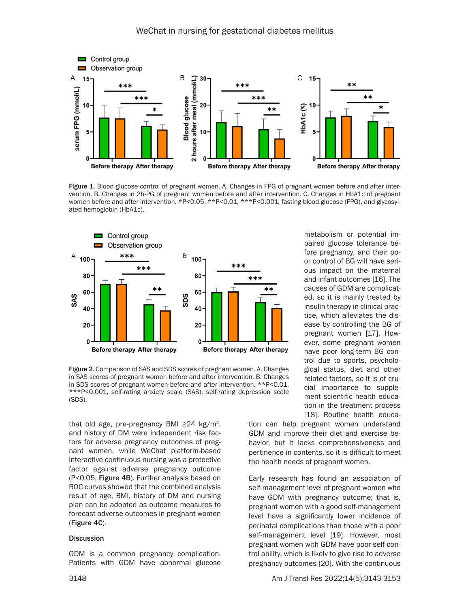

Figure 1. Blood glucose control of pregnant women. A. Changes in FPG of pregnant women before and after intervention. B. Changes in 2h-PG of pregnant women before and after intervention. C. Changes in HbA1c of pregnant women before and after intervention. \*P<0.05, \*\*P<0.01, \*\*\*P<0.001, fasting blood glucose (FPG), and glycosylated hemoglobin (HbA1c).



Figure 2. Comparison of SAS and SDS scores of pregnant women. A. Changes in SAS scores of pregnant women before and after intervention. B. Changes in SDS scores of pregnant women before and after intervention. \*\*P<0.01, \*\*\*P<0.001, self-rating anxiety scale (SAS), self-rating depression scale (SDS).

that old age, pre-pregnancy BMI  $\geq$ 24 kg/m<sup>2</sup>, and history of DM were independent risk factors for adverse pregnancy outcomes of pregnant women, while WeChat platform-based interactive continuous nursing was a protective factor against adverse pregnancy outcome (P<0.05, Figure 4B). Further analysis based on ROC curves showed that the combined analysis result of age, BMI, history of DM and nursing plan can be adopted as outcome measures to forecast adverse outcomes in pregnant women (Figure 4C).

#### **Discussion**

GDM is a common pregnancy complication. Patients with GDM have abnormal glucose

metabolism or potential impaired glucose tolerance before pregnancy, and their poor control of BG will have serious impact on the maternal and infant outcomes [16]. The causes of GDM are complicated, so it is mainly treated by insulin therapy in clinical practice, which alleviates the disease by controlling the BG of pregnant women [17]. However, some pregnant women have poor long-term BG control due to sports, psychological status, diet and other related factors, so it is of crucial importance to supplement scientific health education in the treatment process [18]. Routine health educa-

tion can help pregnant women understand GDM and improve their diet and exercise behavior, but it lacks comprehensiveness and pertinence in contents, so it is difficult to meet the health needs of pregnant women.

Early research has found an association of self-management level of pregnant women who have GDM with pregnancy outcome; that is, pregnant women with a good self-management level have a significantly lower incidence of perinatal complications than those with a poor self-management level [19]. However, most pregnant women with GDM have poor self-control ability, which is likely to give rise to adverse pregnancy outcomes [20]. With the continuous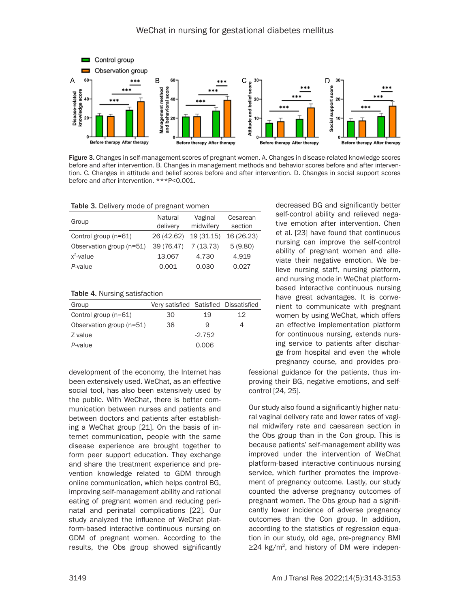

Figure 3. Changes in self-management scores of pregnant women. A. Changes in disease-related knowledge scores before and after intervention. B. Changes in management methods and behavior scores before and after intervention. C. Changes in attitude and belief scores before and after intervention. D. Changes in social support scores before and after intervention. \*\*\*P<0.001.

| Table 3. Delivery mode of pregnant women |  |
|------------------------------------------|--|
|------------------------------------------|--|

| Group                    | Natural<br>delivery | Vaginal<br>midwifery | Cesarean<br>section |
|--------------------------|---------------------|----------------------|---------------------|
| Control group (n=61)     | 26 (42.62)          | 19 (31.15)           | 16 (26.23)          |
| Observation group (n=51) | 39 (76.47)          | 7 (13.73)            | 5(9.80)             |
| $x^2$ -value             | 13.067              | 4.730                | 4.919               |
| P-value                  | 0.001               | 0.030                | 0.027               |

Table 4. Nursing satisfaction

| Group                    | Very satisfied Satisfied Dissatisfied |          |    |
|--------------------------|---------------------------------------|----------|----|
| Control group (n=61)     | 30                                    | 19       | 12 |
| Observation group (n=51) | 38                                    | 9        |    |
| Z value                  |                                       | $-2.752$ |    |
| P-value                  |                                       | 0.006    |    |

development of the economy, the Internet has been extensively used. WeChat, as an effective social tool, has also been extensively used by the public. With WeChat, there is better communication between nurses and patients and between doctors and patients after establishing a WeChat group [21]. On the basis of internet communication, people with the same disease experience are brought together to form peer support education. They exchange and share the treatment experience and prevention knowledge related to GDM through online communication, which helps control BG, improving self-management ability and rational eating of pregnant women and reducing perinatal and perinatal complications [22]. Our study analyzed the influence of WeChat platform-based interactive continuous nursing on GDM of pregnant women. According to the results, the Obs group showed significantly decreased BG and significantly better self-control ability and relieved negative emotion after intervention. Chen et al. [23] have found that continuous nursing can improve the self-control ability of pregnant women and alleviate their negative emotion. We believe nursing staff, nursing platform, and nursing mode in WeChat platformbased interactive continuous nursing have great advantages. It is convenient to communicate with pregnant women by using WeChat, which offers an effective implementation platform for continuous nursing, extends nursing service to patients after discharge from hospital and even the whole pregnancy course, and provides pro-

fessional guidance for the patients, thus improving their BG, negative emotions, and selfcontrol [24, 25].

Our study also found a significantly higher natural vaginal delivery rate and lower rates of vaginal midwifery rate and caesarean section in the Obs group than in the Con group. This is because patients' self-management ability was improved under the intervention of WeChat platform-based interactive continuous nursing service, which further promotes the improvement of pregnancy outcome. Lastly, our study counted the adverse pregnancy outcomes of pregnant women. The Obs group had a significantly lower incidence of adverse pregnancy outcomes than the Con group. In addition, according to the statistics of regression equation in our study, old age, pre-pregnancy BMI  $\geq$ 24 kg/m<sup>2</sup>, and history of DM were indepen-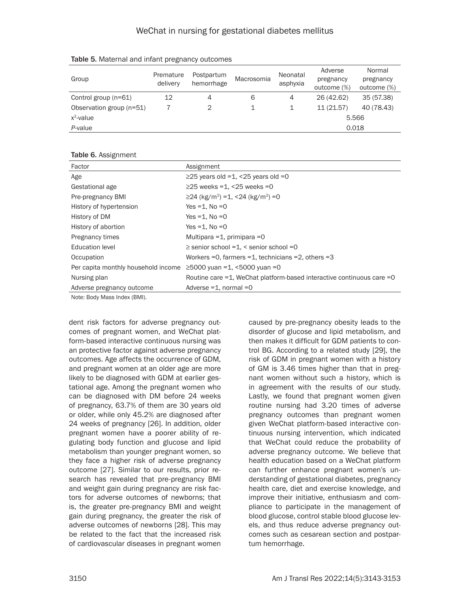| Group                    | Premature<br>delivery | Postpartum<br>hemorrhage | Macrosomia | Neonatal<br>asphyxia | Adverse<br>pregnancy<br>outcome (%) | Normal<br>pregnancy<br>outcome (%) |
|--------------------------|-----------------------|--------------------------|------------|----------------------|-------------------------------------|------------------------------------|
| Control group (n=61)     | 12                    | 4                        | 6          | 4                    | 26 (42.62)                          | 35 (57.38)                         |
| Observation group (n=51) |                       |                          |            |                      | 11(21.57)                           | 40 (78.43)                         |
| $x^2$ -value             |                       |                          |            |                      | 5.566                               |                                    |
| P-value                  |                       |                          |            |                      | 0.018                               |                                    |

Table 5. Maternal and infant pregnancy outcomes

#### Table 6. Assignment

| Factor                              | Assignment                                                                 |
|-------------------------------------|----------------------------------------------------------------------------|
| Age                                 | $\geq$ 25 years old =1, <25 years old =0                                   |
| Gestational age                     | $\geq$ 25 weeks =1, <25 weeks =0                                           |
| Pre-pregnancy BMI                   | $\geq$ 24 (kg/m <sup>2</sup> ) = 1, < 24 (kg/m <sup>2</sup> ) = 0          |
| History of hypertension             | Yes $=1$ . No $=0$                                                         |
| History of DM                       | Yes $=1$ . No $=0$                                                         |
| History of abortion                 | Yes $=1$ . No $=0$                                                         |
| Pregnancy times                     | Multipara = 1, primipara = 0                                               |
| <b>Education level</b>              | $\ge$ senior school =1, < senior school =0                                 |
| Occupation                          | Workers = 0, farmers = $1$ , technicians = $2$ , others = $3$              |
| Per capita monthly household income | $≥$ 5000 yuan =1, <5000 yuan =0                                            |
| Nursing plan                        | Routine care $=1$ , WeChat platform-based interactive continuous care $=0$ |
| Adverse pregnancy outcome           | Adverse $=1$ , normal $=0$                                                 |
| Nota: Rady Moon Indov (DMI)         |                                                                            |

Note: Body Mass Index (BMI).

dent risk factors for adverse pregnancy outcomes of pregnant women, and WeChat platform-based interactive continuous nursing was an protective factor against adverse pregnancy outcomes. Age affects the occurrence of GDM, and pregnant women at an older age are more likely to be diagnosed with GDM at earlier gestational age. Among the pregnant women who can be diagnosed with DM before 24 weeks of pregnancy, 63.7% of them are 30 years old or older, while only 45.2% are diagnosed after 24 weeks of pregnancy [26]. In addition, older pregnant women have a poorer ability of regulating body function and glucose and lipid metabolism than younger pregnant women, so they face a higher risk of adverse pregnancy outcome [27]. Similar to our results, prior research has revealed that pre-pregnancy BMI and weight gain during pregnancy are risk factors for adverse outcomes of newborns; that is, the greater pre-pregnancy BMI and weight gain during pregnancy, the greater the risk of adverse outcomes of newborns [28]. This may be related to the fact that the increased risk of cardiovascular diseases in pregnant women

caused by pre-pregnancy obesity leads to the disorder of glucose and lipid metabolism, and then makes it difficult for GDM patients to control BG. According to a related study [29], the risk of GDM in pregnant women with a history of GM is 3.46 times higher than that in pregnant women without such a history, which is in agreement with the results of our study. Lastly, we found that pregnant women given routine nursing had 3.20 times of adverse pregnancy outcomes than pregnant women given WeChat platform-based interactive continuous nursing intervention, which indicated that WeChat could reduce the probability of adverse pregnancy outcome. We believe that health education based on a WeChat platform can further enhance pregnant women's understanding of gestational diabetes, pregnancy health care, diet and exercise knowledge, and improve their initiative, enthusiasm and compliance to participate in the management of blood glucose, control stable blood glucose levels, and thus reduce adverse pregnancy outcomes such as cesarean section and postpartum hemorrhage.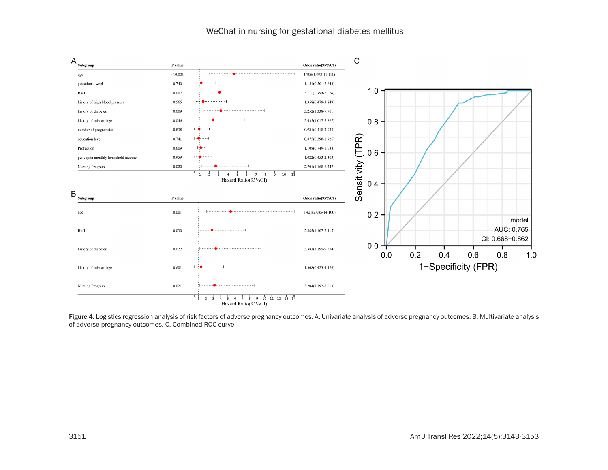

Figure 4. Logistics regression analysis of risk factors of adverse pregnancy outcomes. A. Univariate analysis of adverse pregnancy outcomes. B. Multivariate analysis of adverse pregnancy outcomes. C. Combined ROC curve.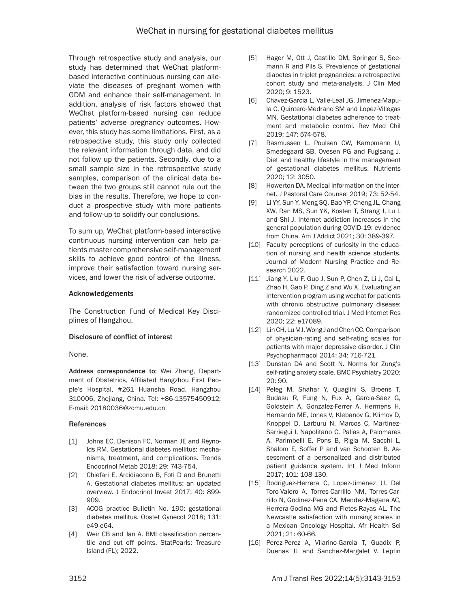Through retrospective study and analysis, our study has determined that WeChat platformbased interactive continuous nursing can alleviate the diseases of pregnant women with GDM and enhance their self-management. In addition, analysis of risk factors showed that WeChat platform-based nursing can reduce patients' adverse pregnancy outcomes. However, this study has some limitations. First, as a retrospective study, this study only collected the relevant information through data, and did not follow up the patients. Secondly, due to a small sample size in the retrospective study samples, comparison of the clinical data between the two groups still cannot rule out the bias in the results. Therefore, we hope to conduct a prospective study with more patients and follow-up to solidify our conclusions.

To sum up, WeChat platform-based interactive continuous nursing intervention can help patients master comprehensive self-management skills to achieve good control of the illness, improve their satisfaction toward nursing services, and lower the risk of adverse outcome.

# Acknowledgements

The Construction Fund of Medical Key Disciplines of Hangzhou.

# Disclosure of conflict of interest

None.

Address correspondence to: Wei Zhang, Department of Obstetrics, Affiliated Hangzhou First People's Hospital, #261 Huansha Road, Hangzhou 310006, Zhejiang, China. Tel: +86-13575450912; E-mail: 20180036@zcmu.edu.cn

# References

- [1] Johns EC, Denison FC, Norman JE and Reynolds RM. Gestational diabetes mellitus: mechanisms, treatment, and complications. Trends Endocrinol Metab 2018; 29: 743-754.
- [2] Chiefari E, Arcidiacono B, Foti D and Brunetti A. Gestational diabetes mellitus: an updated overview. J Endocrinol Invest 2017; 40: 899- 909.
- [3] ACOG practice Bulletin No. 190: gestational diabetes mellitus. Obstet Gynecol 2018; 131: e49-e64.
- [4] Weir CB and Jan A. BMI classification percentile and cut off points. StatPearls: Treasure Island (FL); 2022.
- [5] Hager M, Ott J, Castillo DM, Springer S, Seemann R and Pils S. Prevalence of gestational diabetes in triplet pregnancies: a retrospective cohort study and meta-analysis. J Clin Med 2020; 9: 1523.
- [6] Chavez-Garcia L, Valle-Leal JG, Jimenez-Mapula C, Quintero-Medrano SM and Lopez-Villegas MN. Gestational diabetes adherence to treatment and metabolic control. Rev Med Chil 2019; 147: 574-578.
- [7] Rasmussen L, Poulsen CW, Kampmann U, Smedegaard SB, Ovesen PG and Fuglsang J. Diet and healthy lifestyle in the management of gestational diabetes mellitus. Nutrients 2020; 12: 3050.
- [8] Howerton DA. Medical information on the internet. J Pastoral Care Counsel 2019; 73: 52-54.
- [9] Li YY, Sun Y, Meng SQ, Bao YP, Cheng JL, Chang XW, Ran MS, Sun YK, Kosten T, Strang J, Lu L and Shi J. Internet addiction increases in the general population during COVID-19: evidence from China. Am J Addict 2021; 30: 389-397.
- [10] Faculty perceptions of curiosity in the education of nursing and health science students. Journal of Modern Nursing Practice and Research 2022.
- [11] Jiang Y, Liu F, Guo J, Sun P, Chen Z, Li J, Cai L, Zhao H, Gao P, Ding Z and Wu X. Evaluating an intervention program using wechat for patients with chronic obstructive pulmonary disease: randomized controlled trial. J Med Internet Res 2020; 22: e17089.
- [12] Lin CH, Lu MJ, Wong J and Chen CC. Comparison of physician-rating and self-rating scales for patients with major depressive disorder. J Clin Psychopharmacol 2014; 34: 716-721.
- [13] Dunstan DA and Scott N. Norms for Zung's self-rating anxiety scale. BMC Psychiatry 2020; 20: 90.
- [14] Peleg M, Shahar Y, Quaglini S, Broens T, Budasu R, Fung N, Fux A, Garcia-Saez G, Goldstein A, Gonzalez-Ferrer A, Hermens H, Hernando ME, Jones V, Klebanov G, Klimov D, Knoppel D, Larburu N, Marcos C, Martinez-Sarriegui I, Napolitano C, Pallas A, Palomares A, Parimbelli E, Pons B, Rigla M, Sacchi L, Shalom E, Soffer P and van Schooten B. Assessment of a personalized and distributed patient guidance system. Int J Med Inform 2017; 101: 108-130.
- [15] Rodriguez-Herrera C, Lopez-Jimenez JJ, Del Toro-Valero A, Torres-Carrillo NM, Torres-Carrillo N, Godinez-Pena CA, Mendez-Magana AC, Herrera-Godina MG and Fletes-Rayas AL. The Newcastle satisfaction with nursing scales in a Mexican Oncology Hospital. Afr Health Sci 2021; 21: 60-66.
- [16] Perez-Perez A, Vilarino-Garcia T, Guadix P, Duenas JL and Sanchez-Margalet V. Leptin